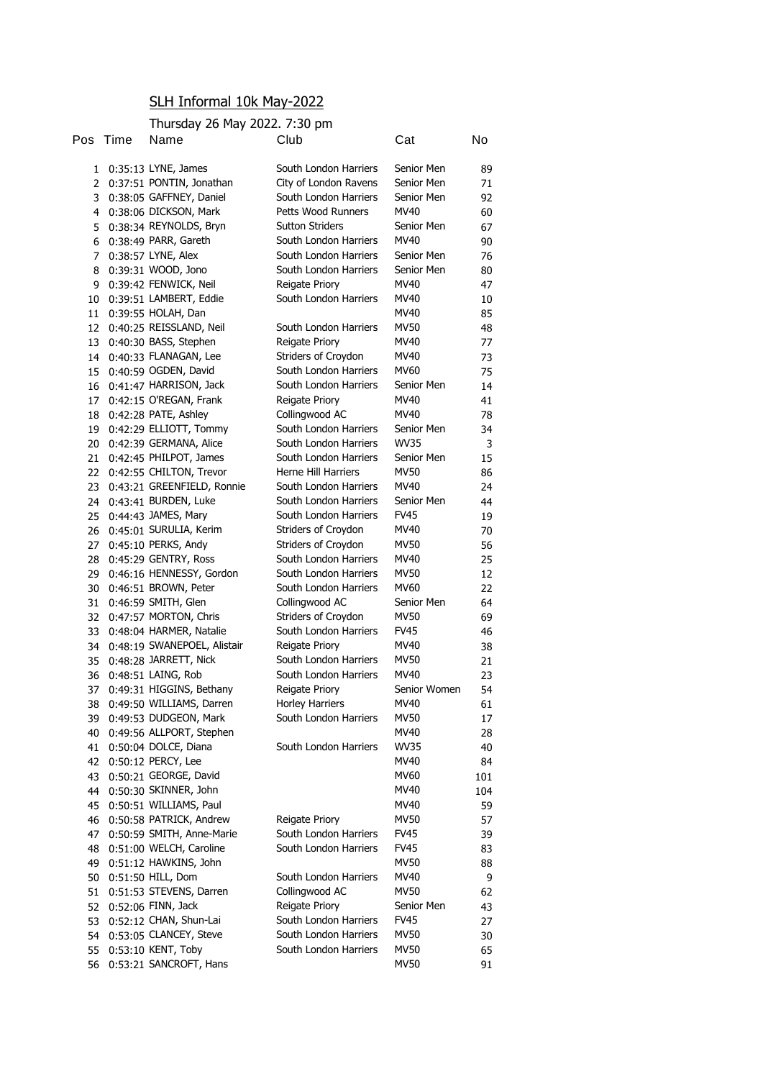## SLH Informal 10k May-2022

## Thursday 26 May 2022. 7:30 pm

| Pos | 1 ime | Name                        | Club                       | Cat          | No  |
|-----|-------|-----------------------------|----------------------------|--------------|-----|
| 1   |       | 0:35:13 LYNE, James         | South London Harriers      | Senior Men   | 89  |
| 2   |       | 0:37:51 PONTIN, Jonathan    | City of London Ravens      | Senior Men   | 71  |
| 3   |       | 0:38:05 GAFFNEY, Daniel     | South London Harriers      | Senior Men   | 92  |
| 4   |       | 0:38:06 DICKSON, Mark       | Petts Wood Runners         | MV40         | 60  |
| 5   |       | 0:38:34 REYNOLDS, Bryn      | <b>Sutton Striders</b>     | Senior Men   | 67  |
| 6   |       | 0:38:49 PARR, Gareth        | South London Harriers      | MV40         | 90  |
| 7   |       | 0:38:57 LYNE, Alex          | South London Harriers      | Senior Men   | 76  |
| 8   |       | 0:39:31 WOOD, Jono          | South London Harriers      | Senior Men   | 80  |
| 9   |       | 0:39:42 FENWICK, Neil       | Reigate Priory             | MV40         | 47  |
| 10  |       | 0:39:51 LAMBERT, Eddie      | South London Harriers      | MV40         | 10  |
| 11  |       | 0:39:55 HOLAH, Dan          |                            | MV40         | 85  |
| 12  |       | 0:40:25 REISSLAND, Neil     | South London Harriers      | MV50         | 48  |
| 13  |       | 0:40:30 BASS, Stephen       | Reigate Priory             | MV40         | 77  |
| 14  |       | 0:40:33 FLANAGAN, Lee       | Striders of Croydon        | MV40         | 73  |
| 15  |       | 0:40:59 OGDEN, David        | South London Harriers      | <b>MV60</b>  | 75  |
| 16  |       | 0:41:47 HARRISON, Jack      | South London Harriers      | Senior Men   | 14  |
| 17  |       | 0:42:15 O'REGAN, Frank      | Reigate Priory             | MV40         | 41  |
| 18  |       | 0:42:28 PATE, Ashley        | Collingwood AC             | MV40         | 78  |
| 19  |       | 0:42:29 ELLIOTT, Tommy      | South London Harriers      | Senior Men   | 34  |
| 20  |       | 0:42:39 GERMANA, Alice      | South London Harriers      | WV35         | 3   |
| 21  |       | 0:42:45 PHILPOT, James      | South London Harriers      | Senior Men   | 15  |
| 22  |       | 0:42:55 CHILTON, Trevor     | <b>Herne Hill Harriers</b> | MV50         | 86  |
| 23  |       | 0:43:21 GREENFIELD, Ronnie  | South London Harriers      | MV40         | 24  |
| 24  |       | 0:43:41 BURDEN, Luke        | South London Harriers      | Senior Men   | 44  |
| 25  |       | 0:44:43 JAMES, Mary         | South London Harriers      | <b>FV45</b>  | 19  |
| 26  |       | 0:45:01 SURULIA, Kerim      | Striders of Croydon        | MV40         | 70  |
| 27  |       | 0:45:10 PERKS, Andy         | Striders of Croydon        | MV50         | 56  |
| 28  |       | 0:45:29 GENTRY, Ross        | South London Harriers      | MV40         | 25  |
| 29  |       | 0:46:16 HENNESSY, Gordon    | South London Harriers      | MV50         | 12  |
| 30  |       | 0:46:51 BROWN, Peter        | South London Harriers      | MV60         | 22  |
| 31  |       | 0:46:59 SMITH, Glen         | Collingwood AC             | Senior Men   | 64  |
| 32  |       | 0:47:57 MORTON, Chris       | Striders of Croydon        | MV50         | 69  |
| 33  |       | 0:48:04 HARMER, Natalie     | South London Harriers      | FV45         | 46  |
| 34  |       | 0:48:19 SWANEPOEL, Alistair | Reigate Priory             | MV40         | 38  |
| 35  |       | 0:48:28 JARRETT, Nick       | South London Harriers      | MV50         | 21  |
| 36  |       | 0:48:51 LAING, Rob          | South London Harriers      | MV40         | 23  |
| 37  |       | 0:49:31 HIGGINS, Bethany    | Reigate Priory             | Senior Women | 54  |
| 38  |       | 0:49:50 WILLIAMS, Darren    | <b>Horley Harriers</b>     | MV40         | 61  |
| 39  |       | 0:49:53 DUDGEON, Mark       | South London Harriers      | <b>MV50</b>  | 17  |
| 40  |       | 0:49:56 ALLPORT, Stephen    |                            | MV40         | 28  |
| 41  |       | 0:50:04 DOLCE, Diana        | South London Harriers      | <b>WV35</b>  | 40  |
| 42  |       | 0:50:12 PERCY, Lee          |                            | MV40         | 84  |
| 43  |       | 0:50:21 GEORGE, David       |                            | MV60         | 101 |
| 44  |       | 0:50:30 SKINNER, John       |                            | MV40         | 104 |
| 45  |       | 0:50:51 WILLIAMS, Paul      |                            | MV40         | 59  |
| 46  |       | 0:50:58 PATRICK, Andrew     | Reigate Priory             | MV50         | 57  |
| 47  |       | 0:50:59 SMITH, Anne-Marie   | South London Harriers      | <b>FV45</b>  | 39  |
| 48  |       | 0:51:00 WELCH, Caroline     | South London Harriers      | <b>FV45</b>  | 83  |
| 49  |       | 0:51:12 HAWKINS, John       |                            | <b>MV50</b>  | 88  |
| 50  |       | 0:51:50 HILL, Dom           | South London Harriers      | MV40         | 9   |
| 51  |       | 0:51:53 STEVENS, Darren     | Collingwood AC             | MV50         | 62  |
| 52  |       | 0:52:06 FINN, Jack          | Reigate Priory             | Senior Men   | 43  |
| 53  |       | 0:52:12 CHAN, Shun-Lai      | South London Harriers      | FV45         | 27  |
| 54  |       | 0:53:05 CLANCEY, Steve      | South London Harriers      | <b>MV50</b>  | 30  |
| 55  |       | 0:53:10 KENT, Toby          | South London Harriers      | <b>MV50</b>  | 65  |
| 56  |       | 0:53:21 SANCROFT, Hans      |                            | <b>MV50</b>  | 91  |